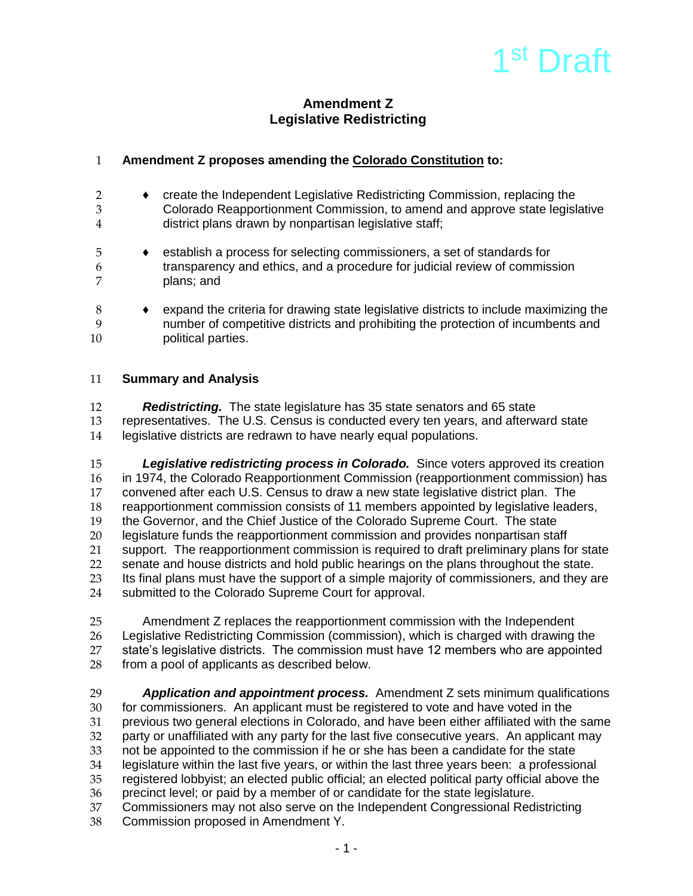# 1<sup>st</sup> Draft

# **Amendment Z Legislative Redistricting**

# 1 **Amendment Z proposes amending the Colorado Constitution to:**

- 2 ♦ create the Independent Legislative Redistricting Commission, replacing the 3 Colorado Reapportionment Commission, to amend and approve state legislative 4 district plans drawn by nonpartisan legislative staff;
- 5 ♦ establish a process for selecting commissioners, a set of standards for 6 transparency and ethics, and a procedure for judicial review of commission plans; and
- 8 ♦ expand the criteria for drawing state legislative districts to include maximizing the 9 number of competitive districts and prohibiting the protection of incumbents and 10 **political parties.**

## 11 **Summary and Analysis**

12 *Redistricting.* The state legislature has 35 state senators and 65 state 13 representatives. The U.S. Census is conducted every ten years, and afterward state<br>14 legislative districts are redrawn to have nearly equal populations. legislative districts are redrawn to have nearly equal populations.

15 *Legislative redistricting process in Colorado.* Since voters approved its creation 16 in 1974, the Colorado Reapportionment Commission (reapportionment commission) has 17 convened after each U.S. Census to draw a new state legislative district plan. The 18 reapportionment commission consists of 11 members appointed by legislative leaders,<br>19 the Governor, and the Chief Justice of the Colorado Supreme Court. The state 19 the Governor, and the Chief Justice of the Colorado Supreme Court. The state<br>20 legislature funds the reapportionment commission and provides nonpartisan sta legislature funds the reapportionment commission and provides nonpartisan staff 21 support. The reapportionment commission is required to draft preliminary plans for state 22 senate and house districts and hold public hearings on the plans throughout the state.<br>23 Its final plans must have the support of a simple maiority of commissioners, and they a Its final plans must have the support of a simple majority of commissioners, and they are 24 submitted to the Colorado Supreme Court for approval.

25 Amendment Z replaces the reapportionment commission with the Independent 26 Legislative Redistricting Commission (commission), which is charged with drawing the<br>27 state's legislative districts. The commission must have 12 members who are appointed state's legislative districts. The commission must have 12 members who are appointed 28 from a pool of applicants as described below.

29 *Application and appointment process.*Amendment Z sets minimum qualifications 30 for commissioners. An applicant must be registered to vote and have voted in the<br>31 **previous two general elections in Colorado**, and have been either affiliated with the 31 previous two general elections in Colorado, and have been either affiliated with the same<br>32 party or unaffiliated with any party for the last five consecutive vears. An applicant may party or unaffiliated with any party for the last five consecutive years. An applicant may 33 not be appointed to the commission if he or she has been a candidate for the state<br>34 legislature within the last five vears, or within the last three vears been: a professic legislature within the last five years, or within the last three years been: a professional 35 registered lobbyist; an elected public official; an elected political party official above the 36 precinct level; or paid by a member of or candidate for the state legislature. 37 Commissioners may not also serve on the Independent Congressional Redistricting 38 Commission proposed in Amendment Y.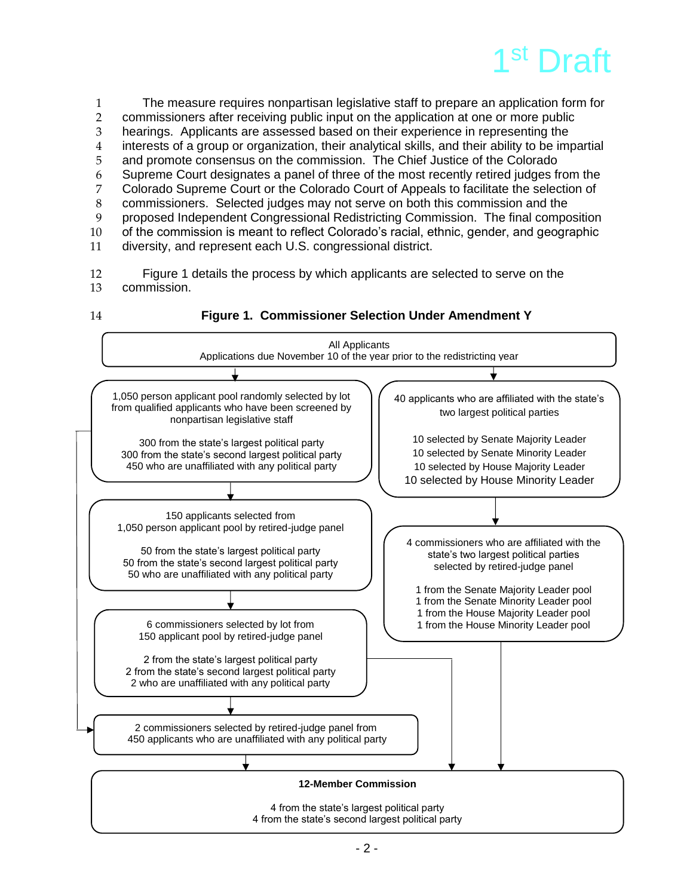

 The measure requires nonpartisan legislative staff to prepare an application form for commissioners after receiving public input on the application at one or more public hearings. Applicants are assessed based on their experience in representing the interests of a group or organization, their analytical skills, and their ability to be impartial and promote consensus on the commission. The Chief Justice of the Colorado Supreme Court designates a panel of three of the most recently retired judges from the Colorado Supreme Court or the Colorado Court of Appeals to facilitate the selection of 8 commissioners. Selected judges may not serve on both this commission and the<br>9 oroposed Independent Congressional Redistricting Commission. The final compo proposed Independent Congressional Redistricting Commission. The final composition of the commission is meant to reflect Colorado's racial, ethnic, gender, and geographic diversity, and represent each U.S. congressional district.

12 Figure 1 details the process by which applicants are selected to serve on the 13 commission.

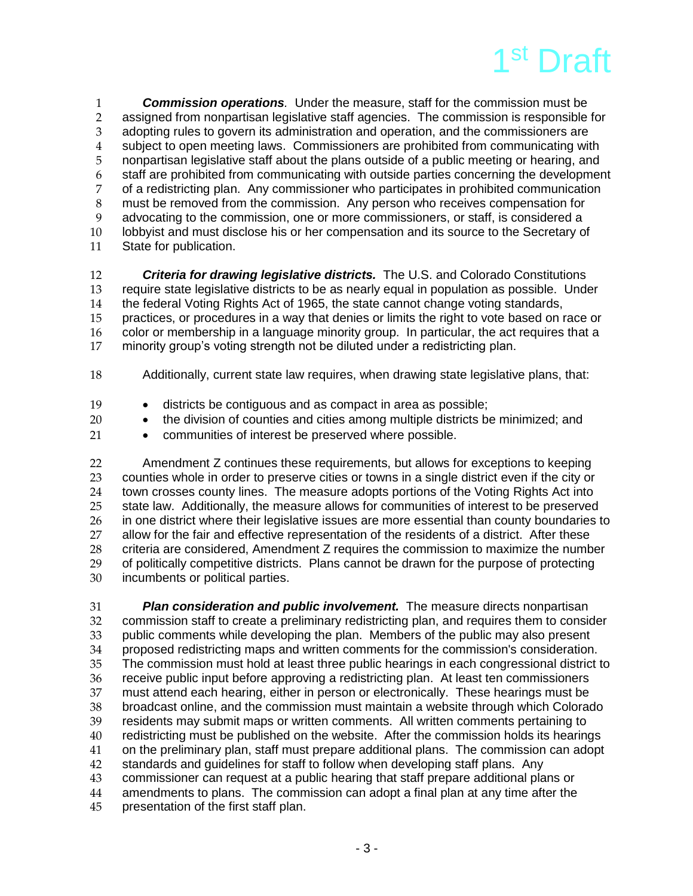

 *Commission operations.* Under the measure, staff for the commission must be 2 assigned from nonpartisan legislative staff agencies. The commission is responsible for<br>3 adopting rules to govern its administration and operation, and the commissioners are adopting rules to govern its administration and operation, and the commissioners are subject to open meeting laws. Commissioners are prohibited from communicating with nonpartisan legislative staff about the plans outside of a public meeting or hearing, and staff are prohibited from communicating with outside parties concerning the development of a redistricting plan. Any commissioner who participates in prohibited communication 8 must be removed from the commission. Any person who receives compensation for advocating to the commission, one or more commissioners, or staff, is considered a advocating to the commission, one or more commissioners, or staff, is considered a lobbyist and must disclose his or her compensation and its source to the Secretary of State for publication.

 *Criteria for drawing legislative districts.* The U.S. and Colorado Constitutions require state legislative districts to be as nearly equal in population as possible. Under the federal Voting Rights Act of 1965, the state cannot change voting standards, 15 practices, or procedures in a way that denies or limits the right to vote based on race or color or membership in a language minority group. In particular, the act requires that a minority group's voting strength not be diluted under a redistricting plan.

- Additionally, current state law requires, when drawing state legislative plans, that:
- 19 districts be contiguous and as compact in area as possible;
- **•** the division of counties and cities among multiple districts be minimized; and
- **•** communities of interest be preserved where possible.

 Amendment Z continues these requirements, but allows for exceptions to keeping 23 counties whole in order to preserve cities or towns in a single district even if the city or<br>24 town crosses county lines. The measure adopts portions of the Voting Rights Act into town crosses county lines. The measure adopts portions of the Voting Rights Act into state law. Additionally, the measure allows for communities of interest to be preserved 26 in one district where their legislative issues are more essential than county boundaries to<br>27 allow for the fair and effective representation of the residents of a district. After these 27 allow for the fair and effective representation of the residents of a district. After these<br>28 criteria are considered. Amendment Z requires the commission to maximize the numb 28 criteria are considered, Amendment Z requires the commission to maximize the number<br>29 of politically competitive districts. Plans cannot be drawn for the purpose of protecting 29 of politically competitive districts. Plans cannot be drawn for the purpose of protecting<br>30 incumbents or political parties. incumbents or political parties.

 *Plan consideration and public involvement.* The measure directs nonpartisan commission staff to create a preliminary redistricting plan, and requires them to consider public comments while developing the plan. Members of the public may also present proposed redistricting maps and written comments for the commission's consideration. 35 The commission must hold at least three public hearings in each congressional district to<br>36 Feceive public input before approving a redistricting plan. At least ten commissioners 36 receive public input before approving a redistricting plan. At least ten commissioners<br>37 must attend each hearing, either in person or electronically. These hearings must be 37 must attend each hearing, either in person or electronically. These hearings must be<br>38 broadcast online, and the commission must maintain a website through which Colorac broadcast online, and the commission must maintain a website through which Colorado residents may submit maps or written comments. All written comments pertaining to redistricting must be published on the website. After the commission holds its hearings on the preliminary plan, staff must prepare additional plans. The commission can adopt 42 standards and guidelines for staff to follow when developing staff plans. Any<br>43 commissioner can request at a public hearing that staff prepare additional pla commissioner can request at a public hearing that staff prepare additional plans or amendments to plans. The commission can adopt a final plan at any time after the presentation of the first staff plan.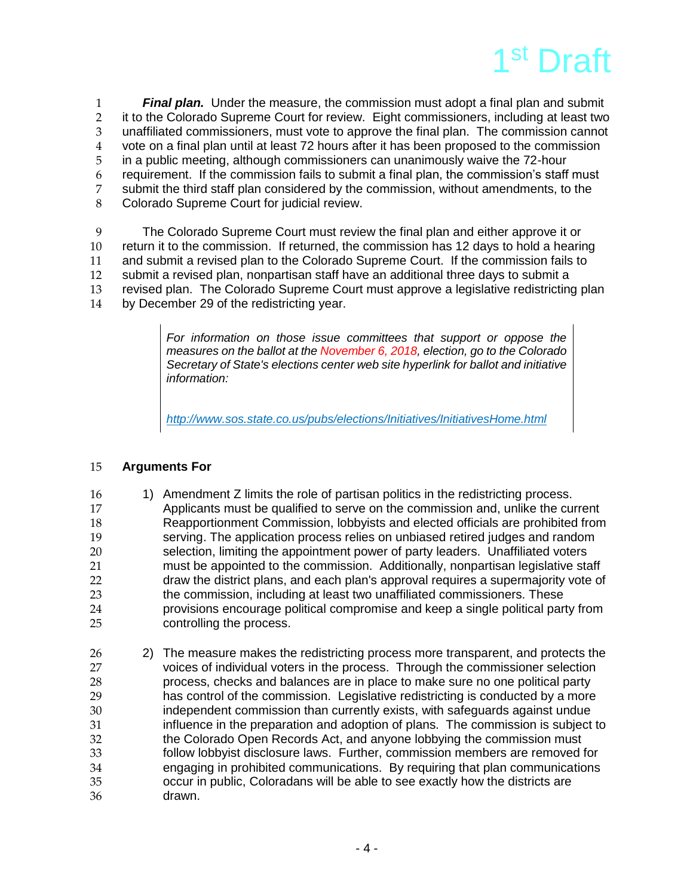

 *Final plan.* Under the measure, the commission must adopt a final plan and submit 2 it to the Colorado Supreme Court for review. Eight commissioners, including at least two<br>3 unaffiliated commissioners, must vote to approve the final plan. The commission cannot unaffiliated commissioners, must vote to approve the final plan. The commission cannot vote on a final plan until at least 72 hours after it has been proposed to the commission in a public meeting, although commissioners can unanimously waive the 72-hour requirement. If the commission fails to submit a final plan, the commission's staff must submit the third staff plan considered by the commission, without amendments, to the Colorado Supreme Court for judicial review.

 The Colorado Supreme Court must review the final plan and either approve it or return it to the commission. If returned, the commission has 12 days to hold a hearing and submit a revised plan to the Colorado Supreme Court. If the commission fails to submit a revised plan, nonpartisan staff have an additional three days to submit a revised plan. The Colorado Supreme Court must approve a legislative redistricting plan by December 29 of the redistricting year.

> *For information on those issue committees that support or oppose the measures on the ballot at the November 6, 2018, election, go to the Colorado Secretary of State's elections center web site hyperlink for ballot and initiative information:*

*<http://www.sos.state.co.us/pubs/elections/Initiatives/InitiativesHome.html>*

### **Arguments For**

- 16 16 10 1) Amendment Z limits the role of partisan politics in the redistricting process. Applicants must be qualified to serve on the commission and, unlike the current 18 Reapportionment Commission, lobbyists and elected officials are prohibited from<br>19 serving. The application process relies on unbiased retired iudges and random serving. The application process relies on unbiased retired judges and random selection, limiting the appointment power of party leaders. Unaffiliated voters must be appointed to the commission. Additionally, nonpartisan legislative staff draw the district plans, and each plan's approval requires a supermajority vote of the commission, including at least two unaffiliated commissioners. These 24 provisions encourage political compromise and keep a single political party from<br>25 controlling the process. controlling the process.
- 2) The measure makes the redistricting process more transparent, and protects the voices of individual voters in the process. Through the commissioner selection process, checks and balances are in place to make sure no one political party 29 has control of the commission. Legislative redistricting is conducted by a more<br>30 independent commission than currently exists, with safeguards against undue independent commission than currently exists, with safeguards against undue influence in the preparation and adoption of plans. The commission is subject to the Colorado Open Records Act, and anyone lobbying the commission must follow lobbyist disclosure laws. Further, commission members are removed for engaging in prohibited communications. By requiring that plan communications occur in public, Coloradans will be able to see exactly how the districts are drawn.